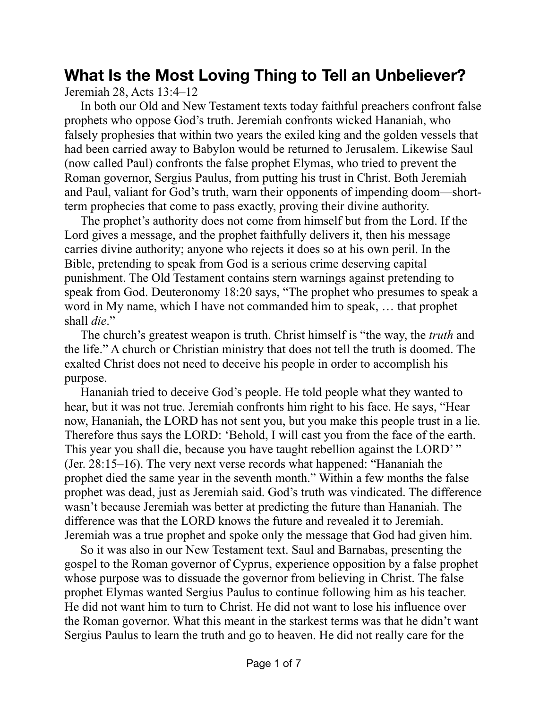## **What Is the Most Loving Thing to Tell an Unbeliever?**

Jeremiah 28, Acts 13:4–12

In both our Old and New Testament texts today faithful preachers confront false prophets who oppose God's truth. Jeremiah confronts wicked Hananiah, who falsely prophesies that within two years the exiled king and the golden vessels that had been carried away to Babylon would be returned to Jerusalem. Likewise Saul (now called Paul) confronts the false prophet Elymas, who tried to prevent the Roman governor, Sergius Paulus, from putting his trust in Christ. Both Jeremiah and Paul, valiant for God's truth, warn their opponents of impending doom—shortterm prophecies that come to pass exactly, proving their divine authority.

The prophet's authority does not come from himself but from the Lord. If the Lord gives a message, and the prophet faithfully delivers it, then his message carries divine authority; anyone who rejects it does so at his own peril. In the Bible, pretending to speak from God is a serious crime deserving capital punishment. The Old Testament contains stern warnings against pretending to speak from God. Deuteronomy 18:20 says, "The prophet who presumes to speak a word in My name, which I have not commanded him to speak, … that prophet shall *die*."

The church's greatest weapon is truth. Christ himself is "the way, the *truth* and the life." A church or Christian ministry that does not tell the truth is doomed. The exalted Christ does not need to deceive his people in order to accomplish his purpose.

Hananiah tried to deceive God's people. He told people what they wanted to hear, but it was not true. Jeremiah confronts him right to his face. He says, "Hear now, Hananiah, the LORD has not sent you, but you make this people trust in a lie. Therefore thus says the LORD: 'Behold, I will cast you from the face of the earth. This year you shall die, because you have taught rebellion against the LORD'" (Jer. 28:15–16). The very next verse records what happened: "Hananiah the prophet died the same year in the seventh month." Within a few months the false prophet was dead, just as Jeremiah said. God's truth was vindicated. The difference wasn't because Jeremiah was better at predicting the future than Hananiah. The difference was that the LORD knows the future and revealed it to Jeremiah. Jeremiah was a true prophet and spoke only the message that God had given him.

So it was also in our New Testament text. Saul and Barnabas, presenting the gospel to the Roman governor of Cyprus, experience opposition by a false prophet whose purpose was to dissuade the governor from believing in Christ. The false prophet Elymas wanted Sergius Paulus to continue following him as his teacher. He did not want him to turn to Christ. He did not want to lose his influence over the Roman governor. What this meant in the starkest terms was that he didn't want Sergius Paulus to learn the truth and go to heaven. He did not really care for the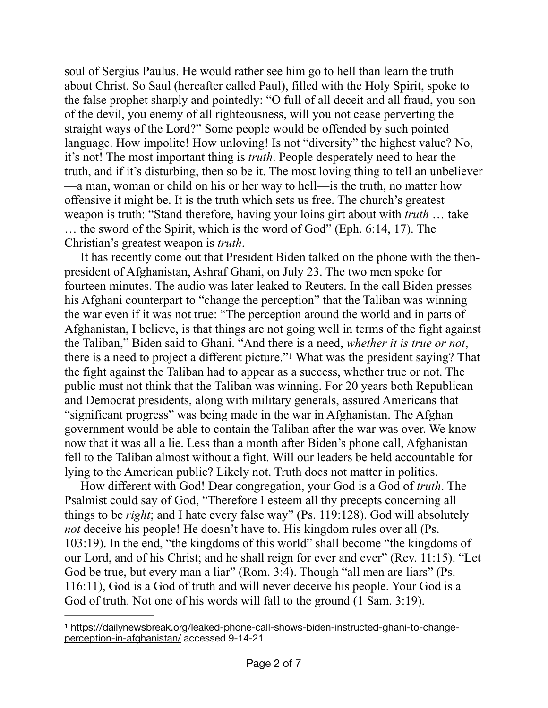soul of Sergius Paulus. He would rather see him go to hell than learn the truth about Christ. So Saul (hereafter called Paul), filled with the Holy Spirit, spoke to the false prophet sharply and pointedly: "O full of all deceit and all fraud, you son of the devil, you enemy of all righteousness, will you not cease perverting the straight ways of the Lord?" Some people would be offended by such pointed language. How impolite! How unloving! Is not "diversity" the highest value? No, it's not! The most important thing is *truth*. People desperately need to hear the truth, and if it's disturbing, then so be it. The most loving thing to tell an unbeliever —a man, woman or child on his or her way to hell—is the truth, no matter how offensive it might be. It is the truth which sets us free. The church's greatest weapon is truth: "Stand therefore, having your loins girt about with *truth* … take … the sword of the Spirit, which is the word of God" (Eph. 6:14, 17). The Christian's greatest weapon is *truth*.

<span id="page-1-1"></span>It has recently come out that President Biden talked on the phone with the thenpresident of Afghanistan, Ashraf Ghani, on July 23. The two men spoke for fourteen minutes. The audio was later leaked to Reuters. In the call Biden presses his Afghani counterpart to "change the perception" that the Taliban was winning the war even if it was not true: "The perception around the world and in parts of Afghanistan, I believe, is that things are not going well in terms of the fight against the Taliban," Biden said to Ghani. "And there is a need, *whether it is true or not*, there is a need to project a different picture.["](#page-1-0)<sup>[1](#page-1-0)</sup> What was the president saying? That the fight against the Taliban had to appear as a success, whether true or not. The public must not think that the Taliban was winning. For 20 years both Republican and Democrat presidents, along with military generals, assured Americans that "significant progress" was being made in the war in Afghanistan. The Afghan government would be able to contain the Taliban after the war was over. We know now that it was all a lie. Less than a month after Biden's phone call, Afghanistan fell to the Taliban almost without a fight. Will our leaders be held accountable for lying to the American public? Likely not. Truth does not matter in politics.

How different with God! Dear congregation, your God is a God of *truth*. The Psalmist could say of God, "Therefore I esteem all thy precepts concerning all things to be *right*; and I hate every false way" (Ps. 119:128). God will absolutely *not* deceive his people! He doesn't have to. His kingdom rules over all (Ps. 103:19). In the end, "the kingdoms of this world" shall become "the kingdoms of our Lord, and of his Christ; and he shall reign for ever and ever" (Rev. 11:15). "Let God be true, but every man a liar" (Rom. 3:4). Though "all men are liars" (Ps. 116:11), God is a God of truth and will never deceive his people. Your God is a God of truth. Not one of his words will fall to the ground (1 Sam. 3:19).

<span id="page-1-0"></span>[https://dailynewsbreak.org/leaked-phone-call-shows-biden-instructed-ghani-to-change-](https://dailynewsbreak.org/leaked-phone-call-shows-biden-instructed-ghani-to-change-perception-in-afghanistan/) [1](#page-1-1) [perception-in-afghanistan/](https://dailynewsbreak.org/leaked-phone-call-shows-biden-instructed-ghani-to-change-perception-in-afghanistan/) accessed 9-14-21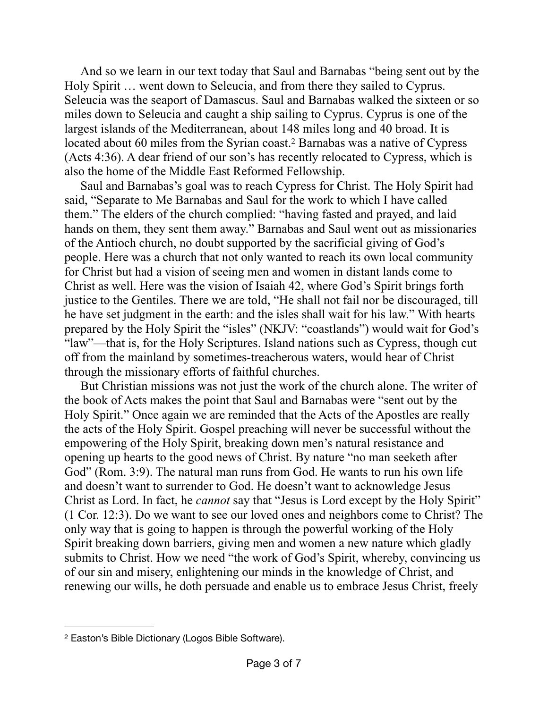And so we learn in our text today that Saul and Barnabas "being sent out by the Holy Spirit … went down to Seleucia, and from there they sailed to Cyprus. Seleucia was the seaport of Damascus. Saul and Barnabas walked the sixteen or so miles down to Seleucia and caught a ship sailing to Cyprus. Cyprus is one of the largest islands of the Mediterranean, about 148 miles long and 40 broad. It is located about 60 miles from the Syrian coast.<sup>[2](#page-2-0)</sup> Barnabas was a native of Cypress (Acts 4:36). A dear friend of our son's has recently relocated to Cypress, which is also the home of the Middle East Reformed Fellowship.

<span id="page-2-1"></span>Saul and Barnabas's goal was to reach Cypress for Christ. The Holy Spirit had said, "Separate to Me Barnabas and Saul for the work to which I have called them." The elders of the church complied: "having fasted and prayed, and laid hands on them, they sent them away." Barnabas and Saul went out as missionaries of the Antioch church, no doubt supported by the sacrificial giving of God's people. Here was a church that not only wanted to reach its own local community for Christ but had a vision of seeing men and women in distant lands come to Christ as well. Here was the vision of Isaiah 42, where God's Spirit brings forth justice to the Gentiles. There we are told, "He shall not fail nor be discouraged, till he have set judgment in the earth: and the isles shall wait for his law." With hearts prepared by the Holy Spirit the "isles" (NKJV: "coastlands") would wait for God's "law"—that is, for the Holy Scriptures. Island nations such as Cypress, though cut off from the mainland by sometimes-treacherous waters, would hear of Christ through the missionary efforts of faithful churches.

But Christian missions was not just the work of the church alone. The writer of the book of Acts makes the point that Saul and Barnabas were "sent out by the Holy Spirit." Once again we are reminded that the Acts of the Apostles are really the acts of the Holy Spirit. Gospel preaching will never be successful without the empowering of the Holy Spirit, breaking down men's natural resistance and opening up hearts to the good news of Christ. By nature "no man seeketh after God" (Rom. 3:9). The natural man runs from God. He wants to run his own life and doesn't want to surrender to God. He doesn't want to acknowledge Jesus Christ as Lord. In fact, he *cannot* say that "Jesus is Lord except by the Holy Spirit" (1 Cor. 12:3). Do we want to see our loved ones and neighbors come to Christ? The only way that is going to happen is through the powerful working of the Holy Spirit breaking down barriers, giving men and women a new nature which gladly submits to Christ. How we need "the work of God's Spirit, whereby, convincing us of our sin and misery, enlightening our minds in the knowledge of Christ, and renewing our wills, he doth persuade and enable us to embrace Jesus Christ, freely

<span id="page-2-0"></span><sup>&</sup>lt;sup>[2](#page-2-1)</sup> Easton's Bible Dictionary (Logos Bible Software).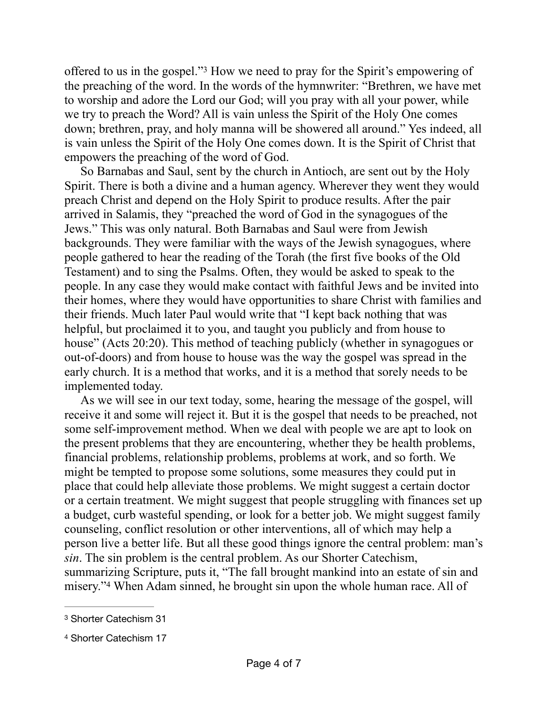<span id="page-3-2"></span>offered to us in the gospel."<sup>[3](#page-3-0)</sup> How we need to pray for the Spirit's empowering of the preaching of the word. In the words of the hymnwriter: "Brethren, we have met to worship and adore the Lord our God; will you pray with all your power, while we try to preach the Word? All is vain unless the Spirit of the Holy One comes down; brethren, pray, and holy manna will be showered all around." Yes indeed, all is vain unless the Spirit of the Holy One comes down. It is the Spirit of Christ that empowers the preaching of the word of God.

So Barnabas and Saul, sent by the church in Antioch, are sent out by the Holy Spirit. There is both a divine and a human agency. Wherever they went they would preach Christ and depend on the Holy Spirit to produce results. After the pair arrived in Salamis, they "preached the word of God in the synagogues of the Jews." This was only natural. Both Barnabas and Saul were from Jewish backgrounds. They were familiar with the ways of the Jewish synagogues, where people gathered to hear the reading of the Torah (the first five books of the Old Testament) and to sing the Psalms. Often, they would be asked to speak to the people. In any case they would make contact with faithful Jews and be invited into their homes, where they would have opportunities to share Christ with families and their friends. Much later Paul would write that "I kept back nothing that was helpful, but proclaimed it to you, and taught you publicly and from house to house" (Acts 20:20). This method of teaching publicly (whether in synagogues or out-of-doors) and from house to house was the way the gospel was spread in the early church. It is a method that works, and it is a method that sorely needs to be implemented today.

As we will see in our text today, some, hearing the message of the gospel, will receive it and some will reject it. But it is the gospel that needs to be preached, not some self-improvement method. When we deal with people we are apt to look on the present problems that they are encountering, whether they be health problems, financial problems, relationship problems, problems at work, and so forth. We might be tempted to propose some solutions, some measures they could put in place that could help alleviate those problems. We might suggest a certain doctor or a certain treatment. We might suggest that people struggling with finances set up a budget, curb wasteful spending, or look for a better job. We might suggest family counseling, conflict resolution or other interventions, all of which may help a person live a better life. But all these good things ignore the central problem: man's *sin*. The sin problem is the central problem. As our Shorter Catechism, summarizing Scripture, puts it, "The fall brought mankind into an estate of sin and misery."<sup>4</sup>When Adam sinned, he brought sin upon the whole human race. All of

<span id="page-3-3"></span><span id="page-3-0"></span>[<sup>3</sup>](#page-3-2) Shorter Catechism 31

<span id="page-3-1"></span>[<sup>4</sup>](#page-3-3) Shorter Catechism 17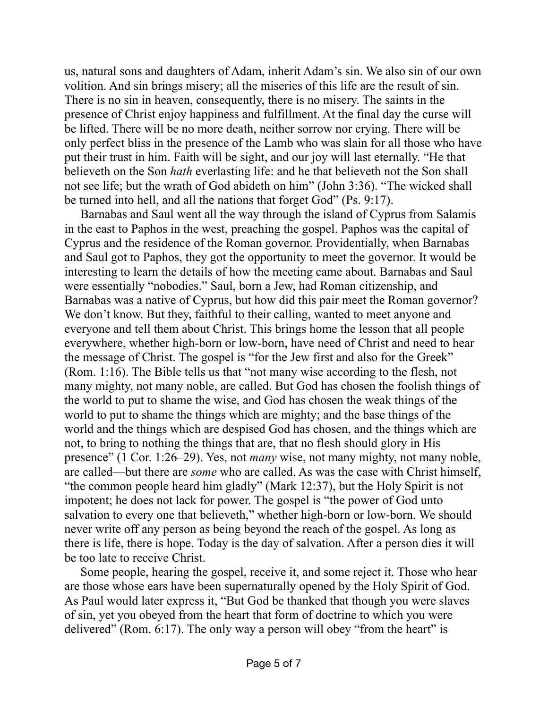us, natural sons and daughters of Adam, inherit Adam's sin. We also sin of our own volition. And sin brings misery; all the miseries of this life are the result of sin. There is no sin in heaven, consequently, there is no misery. The saints in the presence of Christ enjoy happiness and fulfillment. At the final day the curse will be lifted. There will be no more death, neither sorrow nor crying. There will be only perfect bliss in the presence of the Lamb who was slain for all those who have put their trust in him. Faith will be sight, and our joy will last eternally. "He that believeth on the Son *hath* everlasting life: and he that believeth not the Son shall not see life; but the wrath of God abideth on him" (John 3:36). "The wicked shall be turned into hell, and all the nations that forget God" (Ps. 9:17).

Barnabas and Saul went all the way through the island of Cyprus from Salamis in the east to Paphos in the west, preaching the gospel. Paphos was the capital of Cyprus and the residence of the Roman governor. Providentially, when Barnabas and Saul got to Paphos, they got the opportunity to meet the governor. It would be interesting to learn the details of how the meeting came about. Barnabas and Saul were essentially "nobodies." Saul, born a Jew, had Roman citizenship, and Barnabas was a native of Cyprus, but how did this pair meet the Roman governor? We don't know. But they, faithful to their calling, wanted to meet anyone and everyone and tell them about Christ. This brings home the lesson that all people everywhere, whether high-born or low-born, have need of Christ and need to hear the message of Christ. The gospel is "for the Jew first and also for the Greek" (Rom. 1:16). The Bible tells us that "not many wise according to the flesh, not many mighty, not many noble, are called. But God has chosen the foolish things of the world to put to shame the wise, and God has chosen the weak things of the world to put to shame the things which are mighty; and the base things of the world and the things which are despised God has chosen, and the things which are not, to bring to nothing the things that are, that no flesh should glory in His presence" (1 Cor. 1:26–29). Yes, not *many* wise, not many mighty, not many noble, are called—but there are *some* who are called. As was the case with Christ himself, "the common people heard him gladly" (Mark 12:37), but the Holy Spirit is not impotent; he does not lack for power. The gospel is "the power of God unto salvation to every one that believeth," whether high-born or low-born. We should never write off any person as being beyond the reach of the gospel. As long as there is life, there is hope. Today is the day of salvation. After a person dies it will be too late to receive Christ.

Some people, hearing the gospel, receive it, and some reject it. Those who hear are those whose ears have been supernaturally opened by the Holy Spirit of God. As Paul would later express it, "But God be thanked that though you were slaves of sin, yet you obeyed from the heart that form of doctrine to which you were delivered" (Rom. 6:17). The only way a person will obey "from the heart" is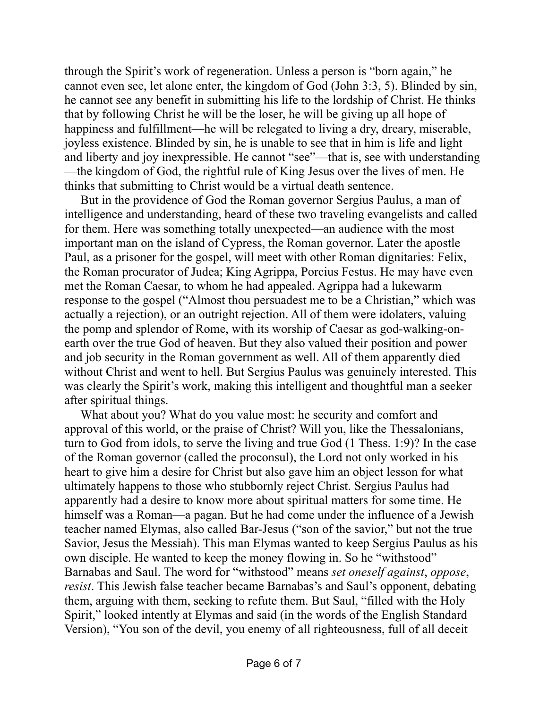through the Spirit's work of regeneration. Unless a person is "born again," he cannot even see, let alone enter, the kingdom of God (John 3:3, 5). Blinded by sin, he cannot see any benefit in submitting his life to the lordship of Christ. He thinks that by following Christ he will be the loser, he will be giving up all hope of happiness and fulfillment—he will be relegated to living a dry, dreary, miserable, joyless existence. Blinded by sin, he is unable to see that in him is life and light and liberty and joy inexpressible. He cannot "see"—that is, see with understanding —the kingdom of God, the rightful rule of King Jesus over the lives of men. He thinks that submitting to Christ would be a virtual death sentence.

But in the providence of God the Roman governor Sergius Paulus, a man of intelligence and understanding, heard of these two traveling evangelists and called for them. Here was something totally unexpected—an audience with the most important man on the island of Cypress, the Roman governor. Later the apostle Paul, as a prisoner for the gospel, will meet with other Roman dignitaries: Felix, the Roman procurator of Judea; King Agrippa, Porcius Festus. He may have even met the Roman Caesar, to whom he had appealed. Agrippa had a lukewarm response to the gospel ("Almost thou persuadest me to be a Christian," which was actually a rejection), or an outright rejection. All of them were idolaters, valuing the pomp and splendor of Rome, with its worship of Caesar as god-walking-onearth over the true God of heaven. But they also valued their position and power and job security in the Roman government as well. All of them apparently died without Christ and went to hell. But Sergius Paulus was genuinely interested. This was clearly the Spirit's work, making this intelligent and thoughtful man a seeker after spiritual things.

What about you? What do you value most: he security and comfort and approval of this world, or the praise of Christ? Will you, like the Thessalonians, turn to God from idols, to serve the living and true God (1 Thess. 1:9)? In the case of the Roman governor (called the proconsul), the Lord not only worked in his heart to give him a desire for Christ but also gave him an object lesson for what ultimately happens to those who stubbornly reject Christ. Sergius Paulus had apparently had a desire to know more about spiritual matters for some time. He himself was a Roman—a pagan. But he had come under the influence of a Jewish teacher named Elymas, also called Bar-Jesus ("son of the savior," but not the true Savior, Jesus the Messiah). This man Elymas wanted to keep Sergius Paulus as his own disciple. He wanted to keep the money flowing in. So he "withstood" Barnabas and Saul. The word for "withstood" means *set oneself against*, *oppose*, *resist*. This Jewish false teacher became Barnabas's and Saul's opponent, debating them, arguing with them, seeking to refute them. But Saul, "filled with the Holy Spirit," looked intently at Elymas and said (in the words of the English Standard Version), "You son of the devil, you enemy of all righteousness, full of all deceit